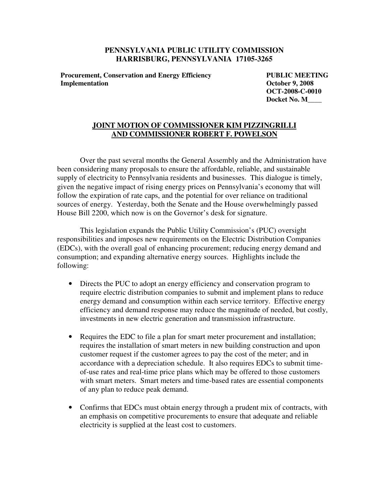## **PENNSYLVANIA PUBLIC UTILITY COMMISSION HARRISBURG, PENNSYLVANIA 17105-3265**

**Procurement, Conservation and Energy Efficiency Implementation** 

**PUBLIC MEETING October 9, 2008 OCT-2008-C-0010 Docket No. M\_\_\_\_** 

## **JOINT MOTION OF COMMISSIONER KIM PIZZINGRILLI AND COMMISSIONER ROBERT F. POWELSON**

Over the past several months the General Assembly and the Administration have been considering many proposals to ensure the affordable, reliable, and sustainable supply of electricity to Pennsylvania residents and businesses. This dialogue is timely, given the negative impact of rising energy prices on Pennsylvania's economy that will follow the expiration of rate caps, and the potential for over reliance on traditional sources of energy. Yesterday, both the Senate and the House overwhelmingly passed House Bill 2200, which now is on the Governor's desk for signature.

 This legislation expands the Public Utility Commission's (PUC) oversight responsibilities and imposes new requirements on the Electric Distribution Companies (EDCs), with the overall goal of enhancing procurement; reducing energy demand and consumption; and expanding alternative energy sources. Highlights include the following:

- Directs the PUC to adopt an energy efficiency and conservation program to require electric distribution companies to submit and implement plans to reduce energy demand and consumption within each service territory. Effective energy efficiency and demand response may reduce the magnitude of needed, but costly, investments in new electric generation and transmission infrastructure.
- Requires the EDC to file a plan for smart meter procurement and installation; requires the installation of smart meters in new building construction and upon customer request if the customer agrees to pay the cost of the meter; and in accordance with a depreciation schedule. It also requires EDCs to submit timeof-use rates and real-time price plans which may be offered to those customers with smart meters. Smart meters and time-based rates are essential components of any plan to reduce peak demand.
- Confirms that EDCs must obtain energy through a prudent mix of contracts, with an emphasis on competitive procurements to ensure that adequate and reliable electricity is supplied at the least cost to customers.